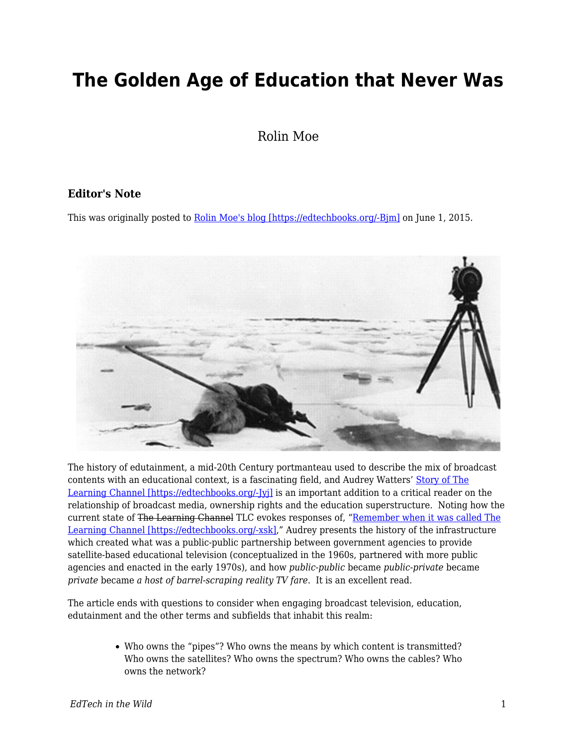## **The Golden Age of Education that Never Was**

Rolin Moe

## **Editor's Note**

This was originally posted to [Rolin Moe's blog \[https://edtechbooks.org/-Bjm\]](http://edutechnicalities.com/articles/the-golden-age-of-education-that-never-was/) on June 1, 2015.



The history of edutainment, a mid-20th Century portmanteau used to describe the mix of broadcast contents with an educational context, is a fascinating field, and Audrey Watters' [Story of The](http://hackeducation.com/2015/05/30/the-learning-channel/) [Learning Channel \[https://edtechbooks.org/-Jyj\]](http://hackeducation.com/2015/05/30/the-learning-channel/) is an important addition to a critical reader on the relationship of broadcast media, ownership rights and the education superstructure. Noting how the current state of The Learning Channel TLC evokes responses of, ["Remember when it was called The](http://www.aol.com/article/2015/05/25/remember-when-tlc-used-to-be-called-the-learning-channel/21186889/) [Learning Channel \[https://edtechbooks.org/-xsk\]](http://www.aol.com/article/2015/05/25/remember-when-tlc-used-to-be-called-the-learning-channel/21186889/)," Audrey presents the history of the infrastructure which created what was a public-public partnership between government agencies to provide satellite-based educational television (conceptualized in the 1960s, partnered with more public agencies and enacted in the early 1970s), and how *public-public* became *public-private* became *private* became *a host of barrel-scraping reality TV fare*. It is an excellent read.

The article ends with questions to consider when engaging broadcast television, education, edutainment and the other terms and subfields that inhabit this realm:

> Who owns the "pipes"? Who owns the means by which content is transmitted? Who owns the satellites? Who owns the spectrum? Who owns the cables? Who owns the network?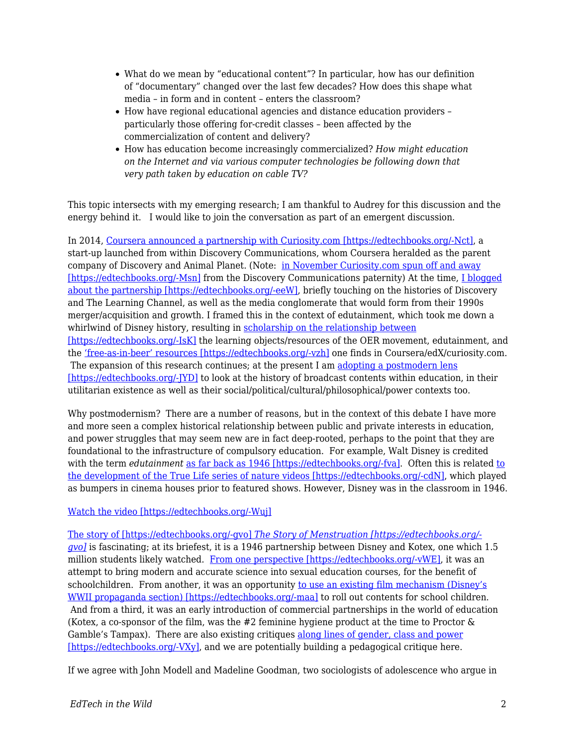- What do we mean by "educational content"? In particular, how has our definition of "documentary" changed over the last few decades? How does this shape what media – in form and in content – enters the classroom?
- How have regional educational agencies and distance education providers particularly those offering for-credit classes – been affected by the commercialization of content and delivery?
- How has education become increasingly commercialized? *How might education on the Internet and via various computer technologies be following down that very path taken by education on cable TV?*

This topic intersects with my emerging research; I am thankful to Audrey for this discussion and the energy behind it. I would like to join the conversation as part of an emergent discussion.

In 2014, [Coursera announced a partnership with Curiosity.com \[https://edtechbooks.org/-Nct\]](http://blog.coursera.org/post/73302211026/now-explore-coursera-courses-on-discovery), a start-up launched from within Discovery Communications, whom Coursera heralded as the parent company of Discovery and Animal Planet. (Note: [in November Curiosity.com spun off and away](http://chicagoinno.streetwise.co/2014/11/11/curiosity-com-raises-6-million-spins-off-of-discovery/) [\[https://edtechbooks.org/-Msn\]](http://chicagoinno.streetwise.co/2014/11/11/curiosity-com-raises-6-million-spins-off-of-discovery/) from the Discovery Communications paternity) At the time, [I blogged](https://allmoocs.wordpress.com/2014/01/22/moocbusters/) [about the partnership \[https://edtechbooks.org/-eeW\]](https://allmoocs.wordpress.com/2014/01/22/moocbusters/), briefly touching on the histories of Discovery and The Learning Channel, as well as the media conglomerate that would form from their 1990s merger/acquisition and growth. I framed this in the context of edutainment, which took me down a whirlwind of Disney history, resulting in [scholarship on the relationship between](http://www.tandfonline.com/doi/abs/10.1080/17439884.2015.1029942?journalCode=cjem20) [\[https://edtechbooks.org/-IsK\]](http://www.tandfonline.com/doi/abs/10.1080/17439884.2015.1029942?journalCode=cjem20) the learning objects/resources of the OER movement, edutainment, and the ['free-as-in-beer' resources \[https://edtechbooks.org/-vzh\]](https://www.google.com/url?sa=t&rct=j&q=&esrc=s&source=web&cd=2&ved=0CCQQFjAB&url=http%3A%2F%2Fwww.kalmans.com%2FKalman_ICA2014_Precon.docx&ei=hrJsVdyXKo7xoASbpYP4DQ&usg=AFQjCNHII6ro9KeXtNGpqHyRb0c05yOXag&bvm=bv.94455598,d.cGU) one finds in Coursera/edX/curiosity.com. The expansion of this research continues; at the present I am [adopting a postmodern lens](http://edutechnicalities.com/articles/a-philosophical-supplement-to-the-oer-movement-thoughts-on-et4online-presentation/) [https://edtechbooks.org/-[YD] to look at the history of broadcast contents within education, in their utilitarian existence as well as their social/political/cultural/philosophical/power contexts too.

Why postmodernism? There are a number of reasons, but in the context of this debate I have more and more seen a complex historical relationship between public and private interests in education, and power struggles that may seem new are in fact deep-rooted, perhaps to the point that they are foundational to the infrastructure of compulsory education. For example, Walt Disney is credited with the term *edutainment* [as far back as 1946 \[https://edtechbooks.org/-fva\].](http://www.academia.edu/1694750/One_Hemisphere_After_All_Latin_America_in_Disney_Edutainment_Films_1942-1946) Often this is related [to](http://prizedwriting.ucdavis.edu/past/2003-2004/nature-as-201cedutainment201d-the-baby-boomer-generation-does-disneyland) [the development of the True Life series of nature videos \[https://edtechbooks.org/-cdN\],](http://prizedwriting.ucdavis.edu/past/2003-2004/nature-as-201cedutainment201d-the-baby-boomer-generation-does-disneyland) which played as bumpers in cinema houses prior to featured shows. However, Disney was in the classroom in 1946.

## [Watch the video \[https://edtechbooks.org/-Wuj\]](http://www.criticalcommons.org/Members/robemoco/clips/a-history-of-edutainment/embed_view)

[The story of \[https://edtechbooks.org/-gvo\]](http://en.wikipedia.org/wiki/The_Story_of_Menstruation) *[The Story of Menstruation \[https://edtechbooks.org/](http://en.wikipedia.org/wiki/The_Story_of_Menstruation) [gvo\]](http://en.wikipedia.org/wiki/The_Story_of_Menstruation)* is fascinating; at its briefest, it is a 1946 partnership between Disney and Kotex, one which 1.5 million students likely watched. [From one perspective \[https://edtechbooks.org/-vWE\],](https://books.google.com/books?id=xlPNB5HpRDIC&pg=PA121&dq=%22The+Story+of+Menstruation%22&hl=en#v=onepage&q=%22The%20Story%20of%20Menstruation%22&f=false) it was an attempt to bring modern and accurate science into sexual education courses, for the benefit of schoolchildren. From another, it was an opportunity [to use an existing film mechanism \(Disney's](http://jimhillmedia.com/alumni1/b/wade_sampson/archive/2005/01/12/1241.aspx) [WWII propaganda section\) \[https://edtechbooks.org/-maa\]](http://jimhillmedia.com/alumni1/b/wade_sampson/archive/2005/01/12/1241.aspx) to roll out contents for school children. And from a third, it was an early introduction of commercial partnerships in the world of education (Kotex, a co-sponsor of the film, was the  $#2$  feminine hygiene product at the time to Proctor  $\&$ Gamble's Tampax). There are also existing critiques [along lines of gender, class and power](https://books.google.com/books?id=PWA0yisYPnEC&pg=PA121&dq=%22The+Story+of+Menstruation%22&hl=en#v=onepage&q=%22The%20Story%20of%20Menstruation%22&f=false) [\[https://edtechbooks.org/-VXy\]](https://books.google.com/books?id=PWA0yisYPnEC&pg=PA121&dq=%22The+Story+of+Menstruation%22&hl=en#v=onepage&q=%22The%20Story%20of%20Menstruation%22&f=false), and we are potentially building a pedagogical critique here.

If we agree with John Modell and Madeline Goodman, two sociologists of adolescence who argue in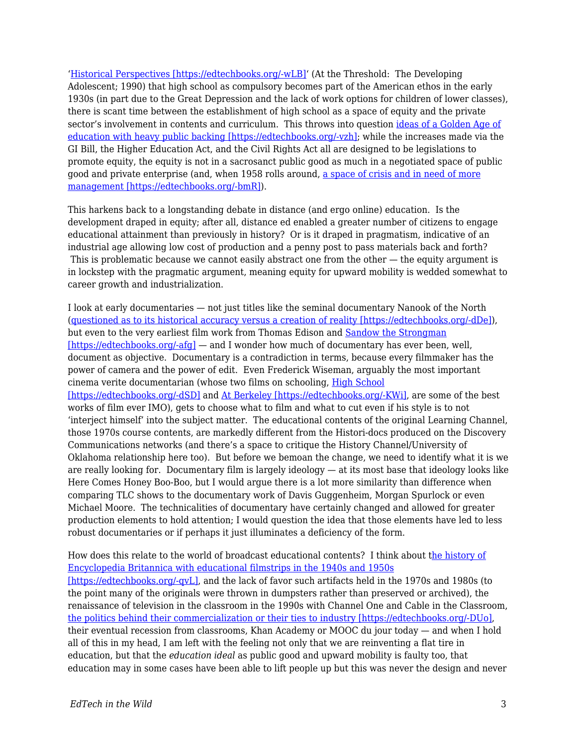'[Historical Perspectives \[https://edtechbooks.org/-wLB\]](https://books.google.com/books?id=De-QadXlOooC&pg=PA93&lpg=PA93&dq=modell+and+goodman+historical+perspectives&source=bl&ots=Jiu1_ktDAK&sig=YFCv5Z47hEynLcpUeGIl2U87-1U&hl=en&sa=X&ei=AqJsVdGxD4TIogTCwYGIBA&ved=0CCQQ6AEwAA#v=onepage&q=modell%20and%20goodman%20historical%20perspectives&f=false)' (At the Threshold: The Developing Adolescent; 1990) that high school as compulsory becomes part of the American ethos in the early 1930s (in part due to the Great Depression and the lack of work options for children of lower classes), there is scant time between the establishment of high school as a space of equity and the private sector's involvement in contents and curriculum. This throws into question [ideas of a Golden Age of](https://www.google.com/url?sa=t&rct=j&q=&esrc=s&source=web&cd=2&ved=0CCQQFjAB&url=http%3A%2F%2Fwww.kalmans.com%2FKalman_ICA2014_Precon.docx&ei=hrJsVdyXKo7xoASbpYP4DQ&usg=AFQjCNHII6ro9KeXtNGpqHyRb0c05yOXag&bvm=bv.94455598,d.cGU) [education with heavy public backing \[https://edtechbooks.org/-vzh\]](https://www.google.com/url?sa=t&rct=j&q=&esrc=s&source=web&cd=2&ved=0CCQQFjAB&url=http%3A%2F%2Fwww.kalmans.com%2FKalman_ICA2014_Precon.docx&ei=hrJsVdyXKo7xoASbpYP4DQ&usg=AFQjCNHII6ro9KeXtNGpqHyRb0c05yOXag&bvm=bv.94455598,d.cGU); while the increases made via the GI Bill, the Higher Education Act, and the Civil Rights Act all are designed to be legislations to promote equity, the equity is not in a sacrosanct public good as much in a negotiated space of public good and private enterprise (and, when 1958 rolls around, [a space of crisis and in need of more](http://www.nytimes.com/2008/01/14/opinion/14iht-edgardner.1.9196672.html?_r=0) [management \[https://edtechbooks.org/-bmR\]\)](http://www.nytimes.com/2008/01/14/opinion/14iht-edgardner.1.9196672.html?_r=0).

This harkens back to a longstanding debate in distance (and ergo online) education. Is the development draped in equity; after all, distance ed enabled a greater number of citizens to engage educational attainment than previously in history? Or is it draped in pragmatism, indicative of an industrial age allowing low cost of production and a penny post to pass materials back and forth? This is problematic because we cannot easily abstract one from the other — the equity argument is in lockstep with the pragmatic argument, meaning equity for upward mobility is wedded somewhat to career growth and industrialization.

I look at early documentaries — not just titles like the seminal documentary Nanook of the North ([questioned as to its historical accuracy versus a creation of reality \[https://edtechbooks.org/-dDe\]\)](http://www.afana.org/leacockessays.htm), but even to the very earliest film work from Thomas Edison and [Sandow the Strongman](https://www.youtube.com/watch?v=570r67gGhfs) [\[https://edtechbooks.org/-afg\]](https://www.youtube.com/watch?v=570r67gGhfs) — and I wonder how much of documentary has ever been, well, document as objective. Documentary is a contradiction in terms, because every filmmaker has the power of camera and the power of edit. Even Frederick Wiseman, arguably the most important cinema verite documentarian (whose two films on schooling, [High School](http://www.zipporah.com/films/21)

[\[https://edtechbooks.org/-dSD\]](http://www.zipporah.com/films/21) and [At Berkeley \[https://edtechbooks.org/-KWi\],](http://www.zipporah.com/films/atberkeley) are some of the best works of film ever IMO), gets to choose what to film and what to cut even if his style is to not 'interject himself' into the subject matter. The educational contents of the original Learning Channel, those 1970s course contents, are markedly different from the Histori-docs produced on the Discovery Communications networks (and there's a space to critique the History Channel/University of Oklahoma relationship here too). But before we bemoan the change, we need to identify what it is we are really looking for. Documentary film is largely ideology — at its most base that ideology looks like Here Comes Honey Boo-Boo, but I would argue there is a lot more similarity than difference when comparing TLC shows to the documentary work of Davis Guggenheim, Morgan Spurlock or even Michael Moore. The technicalities of documentary have certainly changed and allowed for greater production elements to hold attention; I would question the idea that those elements have led to less robust documentaries or if perhaps it just illuminates a deficiency of the form.

How does this relate to the world of broadcast educational contents? I think about [the history of](http://www.kaye.com/miscellany/EBFhx.htm) [Encyclopedia Britannica with educational filmstrips in the 1940s and 1950s](http://www.kaye.com/miscellany/EBFhx.htm) [\[https://edtechbooks.org/-qvL\]](http://www.kaye.com/miscellany/EBFhx.htm), and the lack of favor such artifacts held in the 1970s and 1980s (to the point many of the originals were thrown in dumpsters rather than preserved or archived), the renaissance of television in the classroom in the 1990s with Channel One and Cable in the Classroom, [the politics behind their commercialization or their ties to industry \[https://edtechbooks.org/-DUo\]](http://www.ascd.org/publications/educational-leadership/may93/vol50/num08/Channel-One@-Good-or-Bad-News-for-Our-Schools%C2%A2.aspx), their eventual recession from classrooms, Khan Academy or MOOC du jour today — and when I hold all of this in my head, I am left with the feeling not only that we are reinventing a flat tire in education, but that the *education ideal* as public good and upward mobility is faulty too, that education may in some cases have been able to lift people up but this was never the design and never